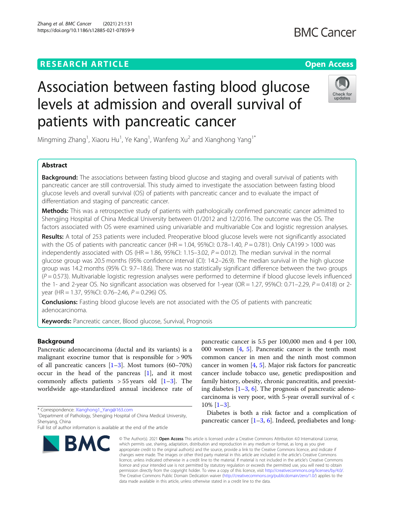## **RESEARCH ARTICLE Example 2014 12:30 The Contract of Contract ACCESS**

# Association between fasting blood glucose levels at admission and overall survival of patients with pancreatic cancer

Mingming Zhang<sup>1</sup>, Xiaoru Hu<sup>1</sup>, Ye Kang<sup>1</sup>, Wanfeng Xu<sup>2</sup> and Xianghong Yang<sup>1\*</sup>

## Abstract

**Background:** The associations between fasting blood glucose and staging and overall survival of patients with pancreatic cancer are still controversial. This study aimed to investigate the association between fasting blood glucose levels and overall survival (OS) of patients with pancreatic cancer and to evaluate the impact of differentiation and staging of pancreatic cancer.

Methods: This was a retrospective study of patients with pathologically confirmed pancreatic cancer admitted to Shengjing Hospital of China Medical University between 01/2012 and 12/2016. The outcome was the OS. The factors associated with OS were examined using univariable and multivariable Cox and logistic regression analyses.

Results: A total of 253 patients were included. Preoperative blood glucose levels were not significantly associated with the OS of patients with pancreatic cancer (HR = 1.04,  $95\%$ CI: 0.78–1.40,  $P = 0.781$ ). Only CA199 > 1000 was independently associated with OS (HR = 1.86,  $95\%$ CI: 1.15–3.02,  $P = 0.012$ ). The median survival in the normal glucose group was 20.5 months (95% confidence interval (CI): 14.2–26.9). The median survival in the high glucose group was 14.2 months (95% CI: 9.7–18.6). There was no statistically significant difference between the two groups  $(P = 0.573)$ . Multivariable logistic regression analyses were performed to determine if blood glucose levels influenced the 1- and 2-year OS. No significant association was observed for 1-year (OR = 1.27, 95%CI: 0.71–2.29,  $P = 0.418$ ) or 2year (HR = 1.37, 95%CI: 0.76–2.46,  $P = 0.296$ ) OS.

**Conclusions:** Fasting blood glucose levels are not associated with the OS of patients with pancreatic adenocarcinoma.

**Keywords:** Pancreatic cancer, Blood glucose, Survival, Prognosis

## Background

Pancreatic adenocarcinoma (ductal and its variants) is a malignant exocrine tumor that is responsible for > 90% of all pancreatic cancers  $[1-3]$  $[1-3]$  $[1-3]$  $[1-3]$ . Most tumors  $(60-70%)$ occur in the head of the pancreas  $[1]$  $[1]$ , and it most commonly affects patients  $> 55$  years old  $[1-3]$  $[1-3]$  $[1-3]$  $[1-3]$  $[1-3]$ . The worldwide age-standardized annual incidence rate of

\* Correspondence: [Xianghong1\\_Yang@163.com](mailto:Xianghong1_Yang@163.com) <sup>1</sup>

## Zhang et al. BMC Cancer (2021) 21:131 https://doi.org/10.1186/s12885-021-07859-9

**BMC** 

pancreatic cancer is 5.5 per 100,000 men and 4 per 100, 000 women [\[4](#page-9-0), [5](#page-9-0)]. Pancreatic cancer is the tenth most common cancer in men and the ninth most common cancer in women [[4,](#page-9-0) [5\]](#page-9-0). Major risk factors for pancreatic cancer include tobacco use, genetic predisposition and family history, obesity, chronic pancreatitis, and preexisting diabetes  $[1-3, 6]$  $[1-3, 6]$  $[1-3, 6]$  $[1-3, 6]$  $[1-3, 6]$  $[1-3, 6]$ . The prognosis of pancreatic adenocarcinoma is very poor, with 5-year overall survival of < 10% [[1](#page-9-0)–[3](#page-9-0)].

Diabetes is both a risk factor and a complication of pancreatic cancer  $[1-3, 6]$  $[1-3, 6]$  $[1-3, 6]$  $[1-3, 6]$  $[1-3, 6]$  $[1-3, 6]$  $[1-3, 6]$ . Indeed, prediabetes and long-

© The Author(s), 2021 **Open Access** This article is licensed under a Creative Commons Attribution 4.0 International License, which permits use, sharing, adaptation, distribution and reproduction in any medium or format, as long as you give appropriate credit to the original author(s) and the source, provide a link to the Creative Commons licence, and indicate if changes were made. The images or other third party material in this article are included in the article's Creative Commons licence, unless indicated otherwise in a credit line to the material. If material is not included in the article's Creative Commons licence and your intended use is not permitted by statutory regulation or exceeds the permitted use, you will need to obtain permission directly from the copyright holder. To view a copy of this licence, visit [http://creativecommons.org/licenses/by/4.0/.](http://creativecommons.org/licenses/by/4.0/) The Creative Commons Public Domain Dedication waiver [\(http://creativecommons.org/publicdomain/zero/1.0/](http://creativecommons.org/publicdomain/zero/1.0/)) applies to the data made available in this article, unless otherwise stated in a credit line to the data.





## **BMC Cancer**

<sup>&</sup>lt;sup>1</sup>Department of Pathology, Shengjing Hospital of China Medical University, Shenyang, China

Full list of author information is available at the end of the article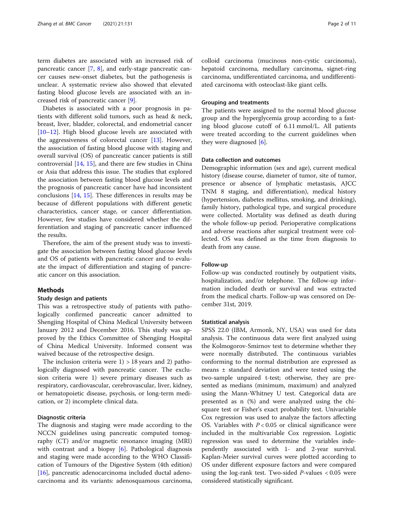term diabetes are associated with an increased risk of pancreatic cancer [\[7](#page-9-0), [8\]](#page-9-0), and early-stage pancreatic cancer causes new-onset diabetes, but the pathogenesis is unclear. A systematic review also showed that elevated fasting blood glucose levels are associated with an increased risk of pancreatic cancer [\[9](#page-9-0)].

Diabetes is associated with a poor prognosis in patients with different solid tumors, such as head & neck, breast, liver, bladder, colorectal, and endometrial cancer [[10](#page-9-0)–[12](#page-9-0)]. High blood glucose levels are associated with the aggressiveness of colorectal cancer [[13](#page-9-0)]. However, the association of fasting blood glucose with staging and overall survival (OS) of pancreatic cancer patients is still controversial [[14,](#page-10-0) [15\]](#page-10-0), and there are few studies in China or Asia that address this issue. The studies that explored the association between fasting blood glucose levels and the prognosis of pancreatic cancer have had inconsistent conclusions [[14,](#page-10-0) [15](#page-10-0)]. These differences in results may be because of different populations with different genetic characteristics, cancer stage, or cancer differentiation. However, few studies have considered whether the differentiation and staging of pancreatic cancer influenced the results.

Therefore, the aim of the present study was to investigate the association between fasting blood glucose levels and OS of patients with pancreatic cancer and to evaluate the impact of differentiation and staging of pancreatic cancer on this association.

## Methods

## Study design and patients

This was a retrospective study of patients with pathologically confirmed pancreatic cancer admitted to Shengjing Hospital of China Medical University between January 2012 and December 2016. This study was approved by the Ethics Committee of Shengjing Hospital of China Medical University. Informed consent was waived because of the retrospective design.

The inclusion criteria were  $1$ ) > 18 years and 2) pathologically diagnosed with pancreatic cancer. The exclusion criteria were 1) severe primary diseases such as respiratory, cardiovascular, cerebrovascular, liver, kidney, or hematopoietic disease, psychosis, or long-term medication, or 2) incomplete clinical data.

## Diagnostic criteria

The diagnosis and staging were made according to the NCCN guidelines using pancreatic computed tomography (CT) and/or magnetic resonance imaging (MRI) with contrast and a biopsy [[6](#page-9-0)]. Pathological diagnosis and staging were made according to the WHO Classification of Tumours of the Digestive System (4th edition) [[16\]](#page-10-0), pancreatic adenocarcinoma included ductal adenocarcinoma and its variants: adenosquamous carcinoma, colloid carcinoma (mucinous non-cystic carcinoma), hepatoid carcinoma, medullary carcinoma, signet-ring carcinoma, undifferentiated carcinoma, and undifferentiated carcinoma with osteoclast-like giant cells.

## Grouping and treatments

The patients were assigned to the normal blood glucose group and the hyperglycemia group according to a fasting blood glucose cutoff of 6.11 mmol/L. All patients were treated according to the current guidelines when they were diagnosed  $[6]$  $[6]$ .

## Data collection and outcomes

Demographic information (sex and age), current medical history (disease course, diameter of tumor, site of tumor, presence or absence of lymphatic metastasis, AJCC TNM 8 staging, and differentiation), medical history (hypertension, diabetes mellitus, smoking, and drinking), family history, pathological type, and surgical procedure were collected. Mortality was defined as death during the whole follow-up period. Perioperative complications and adverse reactions after surgical treatment were collected. OS was defined as the time from diagnosis to death from any cause.

## Follow-up

Follow-up was conducted routinely by outpatient visits, hospitalization, and/or telephone. The follow-up information included death or survival and was extracted from the medical charts. Follow-up was censored on December 31st, 2019.

## Statistical analysis

SPSS 22.0 (IBM, Armonk, NY, USA) was used for data analysis. The continuous data were first analyzed using the Kolmogorov-Smirnov test to determine whether they were normally distributed. The continuous variables conforming to the normal distribution are expressed as means ± standard deviation and were tested using the two-sample unpaired t-test; otherwise, they are presented as medians (minimum, maximum) and analyzed using the Mann-Whitney U test. Categorical data are presented as n (%) and were analyzed using the chisquare test or Fisher's exact probability test. Univariable Cox regression was used to analyze the factors affecting OS. Variables with  $P < 0.05$  or clinical significance were included in the multivariable Cox regression. Logistic regression was used to determine the variables independently associated with 1- and 2-year survival. Kaplan-Meier survival curves were plotted according to OS under different exposure factors and were compared using the log-rank test. Two-sided *P*-values  $< 0.05$  were considered statistically significant.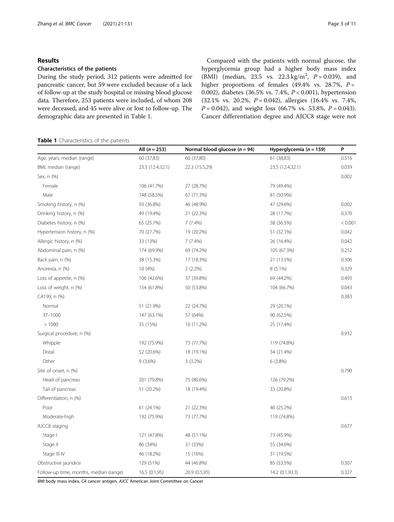## Results

## Characteristics of the patients

During the study period, 312 patients were admitted for pancreatic cancer, but 59 were excluded because of a lack of follow-up at the study hospital or missing blood glucose data. Therefore, 253 patients were included, of whom 208 were deceased, and 45 were alive or lost to follow-up. The demographic data are presented in Table 1.

Compared with the patients with normal glucose, the hyperglycemia group had a higher body mass index (BMI) (median, 23.5 vs. 22.3 kg/m<sup>2</sup>,  $P = 0.039$ ), and higher proportions of females (49.4% vs. 28.7%,  $P =$ 0.002), diabetes (36.5% vs. 7.4%, P < 0.001), hypertension  $(32.1\% \text{ vs. } 20.2\%, P = 0.042),$  allergies  $(16.4\% \text{ vs. } 7.4\%,$  $P = 0.042$ , and weight loss (66.7% vs. 53.8%,  $P = 0.043$ ). Cancer differentiation degree and AJCC8 stage were not

## Table 1 Characteristics of the patients

|                                        | All $(n = 253)$  | Normal blood glucose ( $n = 94$ ) | Hyperglycemia ( $n = 159$ ) | P       |
|----------------------------------------|------------------|-----------------------------------|-----------------------------|---------|
| Age, years, median (range)             | 60 (37,83)       | 60 (37,80)                        | 61 (38,83)                  | 0.516   |
| BMI, median (range)                    | 23.3 (12.4,32.1) | 22.3 (15.5,29)                    | 23.5 (12.4,32.1)            | 0.039   |
| Sex, n (%)                             |                  |                                   |                             | 0.002   |
| Female                                 | 106 (41.7%)      | 27 (28.7%)                        | 79 (49.4%)                  |         |
| Male                                   | 148 (58.5%)      | 67 (71.3%)                        | 81 (50.9%)                  |         |
| Smoking history, n (%)                 | 93 (36.8%)       | 46 (48.9%)                        | 47 (29.6%)                  | 0.002   |
| Drinking history, n (%)                | 49 (19.4%)       | 21 (22.3%)                        | 28 (17.7%)                  | 0.370   |
| Diabetes history, n (%)                | 65 (25.7%)       | 7(7.4%)                           | 58 (36.5%)                  | < 0.001 |
| Hypertension history, n (%)            | 70 (27.7%)       | 19 (20.2%)                        | 51 (32.1%)                  | 0.042   |
| Allergic history, n (%)                | 33 (13%)         | $7(7.4\%)$                        | 26 (16.4%)                  | 0.042   |
| Abdominal pain, n (%)                  | 174 (69.9%)      | 69 (74.2%)                        | 105 (67.3%)                 | 0.252   |
| Back pain, n (%)                       | 38 (15.3%)       | 17 (18.3%)                        | 21 (13.5%)                  | 0.306   |
| Anorexia, n (%)                        | 10 (4%)          | $2(2.2\%)$                        | $8(5.1\%)$                  | 0.329   |
| Loss of appetite, n (%)                | 106 (42.6%)      | 37 (39.8%)                        | 69 (44.2%)                  | 0.493   |
| Loss of weight, n (%)                  | 154 (61.8%)      | 50 (53.8%)                        | 104 (66.7%)                 | 0.043   |
| CA199, n (%)                           |                  |                                   |                             | 0.383   |
| Normal                                 | 51 (21.9%)       | 22 (24.7%)                        | 29 (20.1%)                  |         |
| $37 - 1000$                            | 147 (63.1%)      | 57 (64%)                          | 90 (62.5%)                  |         |
| >1000                                  | 35 (15%)         | 10 (11.2%)                        | 25 (17.4%)                  |         |
| Surgical procedure, n (%)              |                  |                                   |                             | 0.932   |
| Whipple                                | 192 (75.9%)      | 73 (77.7%)                        | 119 (74.8%)                 |         |
| Distal                                 | 52 (20.6%)       | 18 (19.1%)                        | 34 (21.4%)                  |         |
| Other                                  | $9(3.6\%)$       | $3(3.2\%)$                        | 6(3.8%)                     |         |
| Site of onset, n (%)                   |                  |                                   |                             | 0.790   |
| Head of pancreas                       | 201 (79.8%)      | 75 (80.6%)                        | 126 (79.2%)                 |         |
| Tail of pancreas                       | 51 (20.2%)       | 18 (19.4%)                        | 33 (20.8%)                  |         |
| Differentiation, n (%)                 |                  |                                   |                             | 0.613   |
| Poor                                   | 61 (24.1%)       | 21 (22.3%)                        | 40 (25.2%)                  |         |
| Moderate-high                          | 192 (75.9%)      | 73 (77.7%)                        | 119 (74.8%)                 |         |
| AJCC8 staging                          |                  |                                   |                             | 0.677   |
| Stage I                                | 121 (47.8%)      | 48 (51.1%)                        | 73 (45.9%)                  |         |
| Stage II                               | 86 (34%)         | 31 (33%)                          | 55 (34.6%)                  |         |
| Stage III-IV                           | 46 (18.2%)       | 15 (16%)                          | 31 (19.5%)                  |         |
| Obstructive jaundice                   | 129 (51%)        | 44 (46.8%)                        | 85 (53.5%)                  | 0.307   |
| Follow-up time, months, median (range) | 16.5(0.1,95)     | 20.9 (0.5,95)                     | 14.2 (0.1,93.3)             | 0.327   |

BMI body mass index, CA cancer antigen, AJCC American Joint Committee on Cancer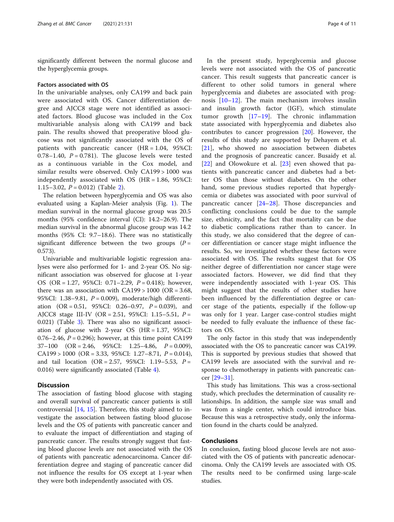significantly different between the normal glucose and the hyperglycemia groups.

#### Factors associated with OS

In the univariable analyses, only CA199 and back pain were associated with OS. Cancer differentiation degree and AJCC8 stage were not identified as associated factors. Blood glucose was included in the Cox multivariable analysis along with CA199 and back pain. The results showed that preoperative blood glucose was not significantly associated with the OS of patients with pancreatic cancer (HR = 1.04, 95%CI: 0.78–1.40,  $P = 0.781$ . The glucose levels were tested as a continuous variable in the Cox model, and similar results were observed. Only CA199 > 1000 was independently associated with OS (HR = 1.86, 95%CI: 1.15–3.02,  $P = 0.012$  (Table [2\)](#page-4-0).

The relation between hyperglycemia and OS was also evaluated using a Kaplan-Meier analysis (Fig. [1\)](#page-5-0). The median survival in the normal glucose group was 20.5 months (95% confidence interval (CI): 14.2–26.9). The median survival in the abnormal glucose group was 14.2 months (95% CI: 9.7–18.6). There was no statistically significant difference between the two groups  $(P =$ 0.573).

Univariable and multivariable logistic regression analyses were also performed for 1- and 2-year OS. No significant association was observed for glucose at 1-year OS (OR = 1.27, 95%CI: 0.71–2.29, P = 0.418); however, there was an association with  $CA199 > 1000$  (OR = 3.68, 95%CI: 1.38–9.81,  $P = 0.009$ ), moderate/high differentiation  $(OR = 0.51, 95\% CI: 0.26-0.97, P = 0.039)$ , and AJCC8 stage III-IV (OR = 2.51, 95%CI: 1.15–5.51,  $P =$ 0.021) (Table [3](#page-6-0)). There was also no significant association of glucose with 2-year OS  $(HR = 1.37, 95\% CI:$ 0.76–2.46,  $P = 0.296$ ); however, at this time point CA199  $37-100$  (OR = 2.46, 95%CI: 1.25-4.86,  $P = 0.009$ ), CA199 > 1000 (OR = 3.33, 95%CI: 1.27–8.71,  $P = 0.014$ ), and tail location  $(OR = 2.57, 95\% CI: 1.19 - 5.53, P =$ 0.016) were significantly associated (Table [4\)](#page-8-0).

## **Discussion**

The association of fasting blood glucose with staging and overall survival of pancreatic cancer patients is still controversial [[14,](#page-10-0) [15](#page-10-0)]. Therefore, this study aimed to investigate the association between fasting blood glucose levels and the OS of patients with pancreatic cancer and to evaluate the impact of differentiation and staging of pancreatic cancer. The results strongly suggest that fasting blood glucose levels are not associated with the OS of patients with pancreatic adenocarcinoma. Cancer differentiation degree and staging of pancreatic cancer did not influence the results for OS except at 1-year when they were both independently associated with OS.

In the present study, hyperglycemia and glucose levels were not associated with the OS of pancreatic cancer. This result suggests that pancreatic cancer is different to other solid tumors in general where hyperglycemia and diabetes are associated with prognosis [\[10](#page-9-0)–[12](#page-9-0)]. The main mechanism involves insulin and insulin growth factor (IGF), which stimulate tumor growth  $[17-19]$  $[17-19]$  $[17-19]$  $[17-19]$ . The chronic inflammation state associated with hyperglycemia and diabetes also contributes to cancer progression [\[20](#page-10-0)]. However, the results of this study are supported by Dehayem et al. [[21\]](#page-10-0), who showed no association between diabetes and the prognosis of pancreatic cancer. Busaidy et al. [[22\]](#page-10-0) and Olowokure et al. [[23\]](#page-10-0) even showed that patients with pancreatic cancer and diabetes had a better OS than those without diabetes. On the other hand, some previous studies reported that hyperglycemia or diabetes was associated with poor survival of pancreatic cancer [\[24](#page-10-0)–[28](#page-10-0)]. Those discrepancies and conflicting conclusions could be due to the sample size, ethnicity, and the fact that mortality can be due to diabetic complications rather than to cancer. In this study, we also considered that the degree of cancer differentiation or cancer stage might influence the results. So, we investigated whether these factors were associated with OS. The results suggest that for OS neither degree of differentiation nor cancer stage were associated factors. However, we did find that they were independently associated with 1-year OS. This might suggest that the results of other studies have been influenced by the differentiation degree or cancer stage of the patients, especially if the follow-up was only for 1 year. Larger case-control studies might be needed to fully evaluate the influence of these factors on OS.

The only factor in this study that was independently associated with the OS to pancreatic cancer was CA199. This is supported by previous studies that showed that CA199 levels are associated with the survival and response to chemotherapy in patients with pancreatic cancer [\[29](#page-10-0)–[31\]](#page-10-0).

This study has limitations. This was a cross-sectional study, which precludes the determination of causality relationships. In addition, the sample size was small and was from a single center, which could introduce bias. Because this was a retrospective study, only the information found in the charts could be analyzed.

## Conclusions

In conclusion, fasting blood glucose levels are not associated with the OS of patients with pancreatic adenocarcinoma. Only the CA199 levels are associated with OS. The results need to be confirmed using large-scale studies.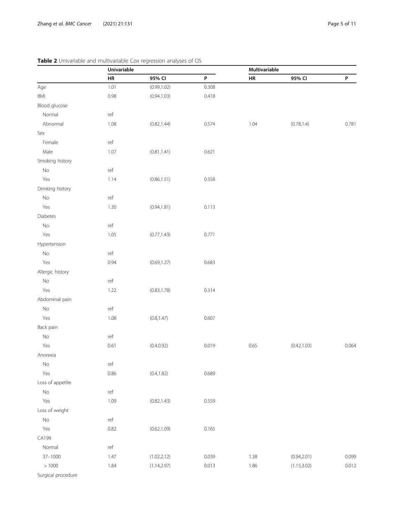|                    | Univariable |              |       | Multivariable |              |       |  |
|--------------------|-------------|--------------|-------|---------------|--------------|-------|--|
|                    | ${\sf HR}$  | 95% CI       | P     | ${\sf HR}$    | 95% CI       | P     |  |
| Age                | 1.01        | (0.99, 1.02) | 0.308 |               |              |       |  |
| BMI                | 0.98        | (0.94, 1.03) | 0.418 |               |              |       |  |
| Blood glucose      |             |              |       |               |              |       |  |
| Normal             | ref         |              |       |               |              |       |  |
| Abnormal           | 1.08        | (0.82, 1.44) | 0.574 | 1.04          | (0.78, 1.4)  | 0.781 |  |
| Sex                |             |              |       |               |              |       |  |
| Female             | ref         |              |       |               |              |       |  |
| Male               | 1.07        | (0.81, 1.41) | 0.621 |               |              |       |  |
| Smoking history    |             |              |       |               |              |       |  |
| $\mathsf{No}$      | ref         |              |       |               |              |       |  |
| Yes                | 1.14        | (0.86, 1.51) | 0.358 |               |              |       |  |
| Drinking history   |             |              |       |               |              |       |  |
| $\rm No$           | ref         |              |       |               |              |       |  |
| Yes                | 1.30        | (0.94, 1.81) | 0.113 |               |              |       |  |
| Diabetes           |             |              |       |               |              |       |  |
| $\mathsf{No}$      | ref         |              |       |               |              |       |  |
| Yes                | 1.05        | (0.77, 1.43) | 0.771 |               |              |       |  |
| Hypertension       |             |              |       |               |              |       |  |
| $\rm No$           | ref         |              |       |               |              |       |  |
| Yes                | 0.94        | (0.69, 1.27) | 0.683 |               |              |       |  |
| Allergic history   |             |              |       |               |              |       |  |
| $\mathsf{No}$      | ref         |              |       |               |              |       |  |
| Yes                | 1.22        | (0.83, 1.78) | 0.314 |               |              |       |  |
| Abdominal pain     |             |              |       |               |              |       |  |
| $\mathsf{No}$      | ref         |              |       |               |              |       |  |
| Yes                | 1.08        | (0.8, 1.47)  | 0.607 |               |              |       |  |
| Back pain          |             |              |       |               |              |       |  |
| $\rm No$           | ref         |              |       |               |              |       |  |
| Yes                | 0.61        | (0.4, 0.92)  | 0.019 | 0.65          | (0.42, 1.03) | 0.064 |  |
| Anorexia           |             |              |       |               |              |       |  |
| No                 | ref         |              |       |               |              |       |  |
| Yes                | 0.86        | (0.4, 1.82)  | 0.689 |               |              |       |  |
| Loss of appetite   |             |              |       |               |              |       |  |
| No                 | ref         |              |       |               |              |       |  |
| Yes                | 1.09        | (0.82, 1.43) | 0.559 |               |              |       |  |
| Loss of weight     |             |              |       |               |              |       |  |
| $\rm No$           | ref         |              |       |               |              |       |  |
| Yes                | 0.82        | (0.62, 1.09) | 0.165 |               |              |       |  |
| CA199              |             |              |       |               |              |       |  |
| Normal             | ref         |              |       |               |              |       |  |
| $37 - 1000$        | 1.47        | (1.02, 2.12) | 0.039 | 1.38          | (0.94, 2.01) | 0.099 |  |
| > 1000             | 1.84        | (1.14, 2.97) | 0.013 | 1.86          | (1.15, 3.02) | 0.012 |  |
| Surgical procedure |             |              |       |               |              |       |  |

## <span id="page-4-0"></span>Table 2 Univariable and multivariable Cox regression analyses of OS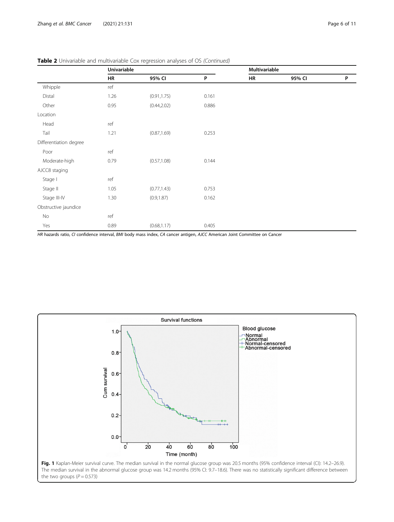|                        | <b>Univariable</b> |              |       | Multivariable |        |   |
|------------------------|--------------------|--------------|-------|---------------|--------|---|
|                        | HR                 | 95% CI       | P     | HR            | 95% CI | P |
| Whipple                | ref                |              |       |               |        |   |
| Distal                 | 1.26               | (0.91, 1.75) | 0.161 |               |        |   |
| Other                  | 0.95               | (0.44, 2.02) | 0.886 |               |        |   |
| Location               |                    |              |       |               |        |   |
| Head                   | ref                |              |       |               |        |   |
| Tail                   | 1.21               | (0.87, 1.69) | 0.253 |               |        |   |
| Differentiation degree |                    |              |       |               |        |   |
| Poor                   | ref                |              |       |               |        |   |
| Moderate-high          | 0.79               | (0.57, 1.08) | 0.144 |               |        |   |
| AJCC8 staging          |                    |              |       |               |        |   |
| Stage I                | ref                |              |       |               |        |   |
| Stage II               | 1.05               | (0.77, 1.43) | 0.753 |               |        |   |
| Stage III-IV           | 1.30               | (0.9, 1.87)  | 0.162 |               |        |   |
| Obstructive jaundice   |                    |              |       |               |        |   |
| No                     | ref                |              |       |               |        |   |
| Yes                    | 0.89               | (0.68, 1.17) | 0.405 |               |        |   |

## <span id="page-5-0"></span>Table 2 Univariable and multivariable Cox regression analyses of OS (Continued)

HR hazards ratio, CI confidence interval, BMI body mass index, CA cancer antigen, AJCC American Joint Committee on Cancer

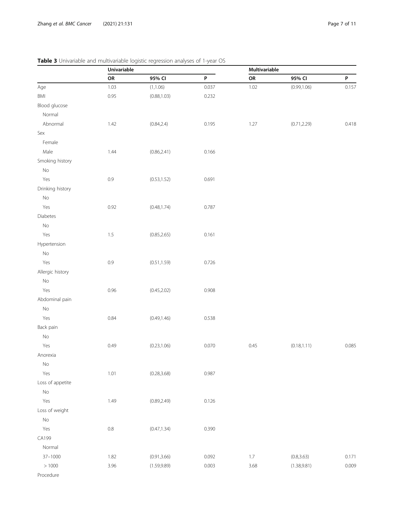|                  | Univariable |              |       | Multivariable |              |       |
|------------------|-------------|--------------|-------|---------------|--------------|-------|
|                  | OR          | 95% CI       | P     | OR            | 95% CI       | P     |
| Age              | 1.03        | (1, 1.06)    | 0.037 | 1.02          | (0.99, 1.06) | 0.157 |
| BMI              | 0.95        | (0.88, 1.03) | 0.232 |               |              |       |
| Blood glucose    |             |              |       |               |              |       |
| Normal           |             |              |       |               |              |       |
| Abnormal         | 1.42        | (0.84, 2.4)  | 0.195 | 1.27          | (0.71, 2.29) | 0.418 |
| Sex              |             |              |       |               |              |       |
| Female           |             |              |       |               |              |       |
| Male             | 1.44        | (0.86, 2.41) | 0.166 |               |              |       |
| Smoking history  |             |              |       |               |              |       |
| No               |             |              |       |               |              |       |
| Yes              | 0.9         | (0.53, 1.52) | 0.691 |               |              |       |
| Drinking history |             |              |       |               |              |       |
| $\rm No$         |             |              |       |               |              |       |
| Yes              | 0.92        | (0.48, 1.74) | 0.787 |               |              |       |
| Diabetes         |             |              |       |               |              |       |
| No               |             |              |       |               |              |       |
| Yes              | 1.5         | (0.85, 2.65) | 0.161 |               |              |       |
| Hypertension     |             |              |       |               |              |       |
| $\rm No$         |             |              |       |               |              |       |
| Yes              | 0.9         | (0.51, 1.59) | 0.726 |               |              |       |
| Allergic history |             |              |       |               |              |       |
| No               |             |              |       |               |              |       |
| Yes              | 0.96        | (0.45, 2.02) | 0.908 |               |              |       |
| Abdominal pain   |             |              |       |               |              |       |
| $\rm No$         |             |              |       |               |              |       |
| Yes              | 0.84        | (0.49, 1.46) | 0.538 |               |              |       |
| Back pain        |             |              |       |               |              |       |
| No               |             |              |       |               |              |       |
| Yes              | 0.49        | (0.23, 1.06) | 0.070 | 0.45          | (0.18, 1.11) | 0.085 |
| Anorexia         |             |              |       |               |              |       |
| No               |             |              |       |               |              |       |
| Yes              | 1.01        | (0.28, 3.68) | 0.987 |               |              |       |
| Loss of appetite |             |              |       |               |              |       |
| $\rm No$         |             |              |       |               |              |       |
| Yes              | 1.49        | (0.89, 2.49) | 0.126 |               |              |       |
| Loss of weight   |             |              |       |               |              |       |
| $\rm No$         |             |              |       |               |              |       |
| Yes              | $0.8\,$     | (0.47, 1.34) | 0.390 |               |              |       |
| CA199            |             |              |       |               |              |       |
| Normal           |             |              |       |               |              |       |
| $37 - 1000$      | 1.82        | (0.91, 3.66) | 0.092 | $1.7\,$       | (0.8, 3.63)  | 0.171 |
| > 1000           | 3.96        | (1.59, 9.89) | 0.003 | 3.68          | (1.38, 9.81) | 0.009 |

<span id="page-6-0"></span>

| Table 3 Univariable and multivariable logistic regression analyses of 1-year OS |
|---------------------------------------------------------------------------------|
|---------------------------------------------------------------------------------|

Procedure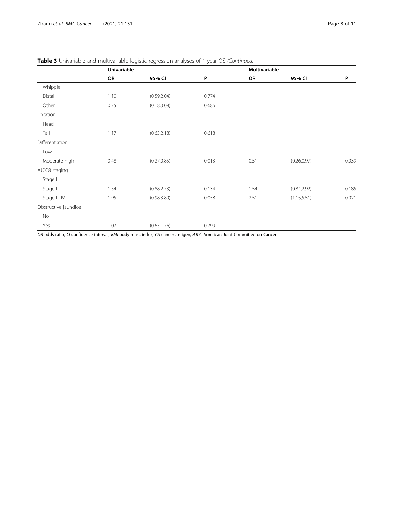|                      | Univariable |              |       | Multivariable |              |       |
|----------------------|-------------|--------------|-------|---------------|--------------|-------|
|                      | OR          | 95% CI       | P     | OR            | 95% CI       | P     |
| Whipple              |             |              |       |               |              |       |
| Distal               | 1.10        | (0.59, 2.04) | 0.774 |               |              |       |
| Other                | 0.75        | (0.18, 3.08) | 0.686 |               |              |       |
| Location             |             |              |       |               |              |       |
| Head                 |             |              |       |               |              |       |
| Tail                 | 1.17        | (0.63, 2.18) | 0.618 |               |              |       |
| Differentiation      |             |              |       |               |              |       |
| Low                  |             |              |       |               |              |       |
| Moderate-high        | 0.48        | (0.27, 0.85) | 0.013 | 0.51          | (0.26, 0.97) | 0.039 |
| AJCC8 staging        |             |              |       |               |              |       |
| Stage I              |             |              |       |               |              |       |
| Stage II             | 1.54        | (0.88, 2.73) | 0.134 | 1.54          | (0.81, 2.92) | 0.185 |
| Stage III-IV         | 1.95        | (0.98, 3.89) | 0.058 | 2.51          | (1.15, 5.51) | 0.021 |
| Obstructive jaundice |             |              |       |               |              |       |
| No                   |             |              |       |               |              |       |
| Yes                  | 1.07        | (0.65, 1.76) | 0.799 |               |              |       |

## Table 3 Univariable and multivariable logistic regression analyses of 1-year OS (Continued)

OR odds ratio, CI confidence interval, BMI body mass index, CA cancer antigen, AJCC American Joint Committee on Cancer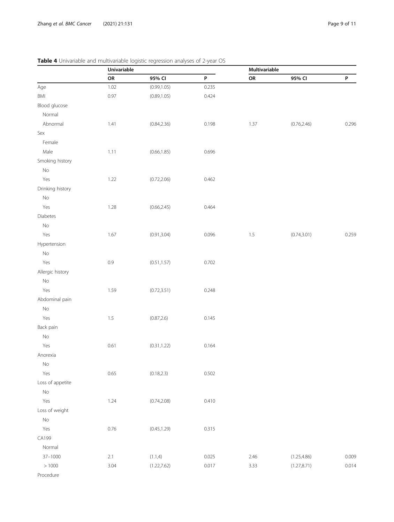|                  | Univariable |              |       | Multivariable |              |       |
|------------------|-------------|--------------|-------|---------------|--------------|-------|
|                  | OR          | 95% CI       | P     | OR            | 95% CI       | P     |
| Age              | 1.02        | (0.99, 1.05) | 0.235 |               |              |       |
| BMI              | 0.97        | (0.89, 1.05) | 0.424 |               |              |       |
| Blood glucose    |             |              |       |               |              |       |
| Normal           |             |              |       |               |              |       |
| Abnormal         | 1.41        | (0.84, 2.36) | 0.198 | 1.37          | (0.76, 2.46) | 0.296 |
| Sex              |             |              |       |               |              |       |
| Female           |             |              |       |               |              |       |
| Male             | 1.11        | (0.66, 1.85) | 0.696 |               |              |       |
| Smoking history  |             |              |       |               |              |       |
| $\rm No$         |             |              |       |               |              |       |
| Yes              | 1.22        | (0.72, 2.06) | 0.462 |               |              |       |
| Drinking history |             |              |       |               |              |       |
| $\rm No$         |             |              |       |               |              |       |
| Yes              | 1.28        | (0.66, 2.45) | 0.464 |               |              |       |
| Diabetes         |             |              |       |               |              |       |
| $\rm No$         |             |              |       |               |              |       |
| Yes              | 1.67        | (0.91, 3.04) | 0.096 | 1.5           | (0.74, 3.01) | 0.259 |
| Hypertension     |             |              |       |               |              |       |
| $\rm No$         |             |              |       |               |              |       |
| Yes              | 0.9         | (0.51, 1.57) | 0.702 |               |              |       |
| Allergic history |             |              |       |               |              |       |
| $\rm No$         |             |              |       |               |              |       |
| Yes              | 1.59        | (0.72, 3.51) | 0.248 |               |              |       |
| Abdominal pain   |             |              |       |               |              |       |
| $\rm No$         |             |              |       |               |              |       |
| Yes              | $1.5\,$     | (0.87, 2.6)  | 0.145 |               |              |       |
| Back pain        |             |              |       |               |              |       |
| No               |             |              |       |               |              |       |
| Yes              | 0.61        | (0.31, 1.22) | 0.164 |               |              |       |
| Anorexia         |             |              |       |               |              |       |
| No               |             |              |       |               |              |       |
| Yes              | 0.65        | (0.18, 2.3)  | 0.502 |               |              |       |
| Loss of appetite |             |              |       |               |              |       |
| $\rm No$         |             |              |       |               |              |       |
| Yes              | 1.24        | (0.74, 2.08) | 0.410 |               |              |       |
| Loss of weight   |             |              |       |               |              |       |
| $\rm No$         |             |              |       |               |              |       |
| Yes              | 0.76        | (0.45, 1.29) | 0.315 |               |              |       |
| CA199            |             |              |       |               |              |       |
| Normal           |             |              |       |               |              |       |
| $37 - 1000$      | $2.1\,$     | (1.1,4)      | 0.025 | 2.46          | (1.25, 4.86) | 0.009 |
| > 1000           | 3.04        | (1.22, 7.62) | 0.017 | 3.33          | (1.27, 8.71) | 0.014 |
| Procedure        |             |              |       |               |              |       |

<span id="page-8-0"></span>Table 4 Univariable and multivariable logistic regression analyses of 2-year OS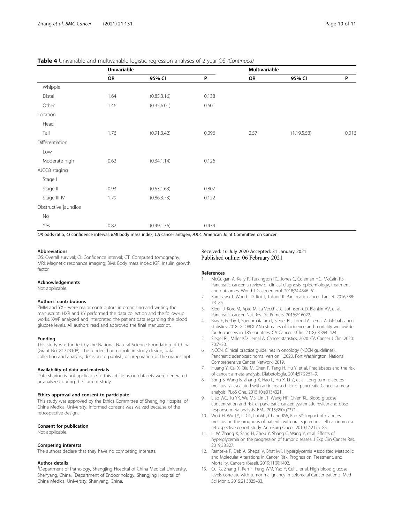|                      | Univariable |              |       | Multivariable |              |       |
|----------------------|-------------|--------------|-------|---------------|--------------|-------|
|                      | OR          | 95% CI       | P     | OR            | 95% CI       | P     |
| Whipple              |             |              |       |               |              |       |
| Distal               | 1.64        | (0.85, 3.16) | 0.138 |               |              |       |
| Other                | 1.46        | (0.35, 6.01) | 0.601 |               |              |       |
| Location             |             |              |       |               |              |       |
| Head                 |             |              |       |               |              |       |
| Tail                 | 1.76        | (0.91, 3.42) | 0.096 | 2.57          | (1.19, 5.53) | 0.016 |
| Differentiation      |             |              |       |               |              |       |
| Low                  |             |              |       |               |              |       |
| Moderate-high        | 0.62        | (0.34, 1.14) | 0.126 |               |              |       |
| AJCC8 staging        |             |              |       |               |              |       |
| Stage I              |             |              |       |               |              |       |
| Stage II             | 0.93        | (0.53, 1.63) | 0.807 |               |              |       |
| Stage III-IV         | 1.79        | (0.86, 3.73) | 0.122 |               |              |       |
| Obstructive jaundice |             |              |       |               |              |       |
| No                   |             |              |       |               |              |       |
| Yes                  | 0.82        | (0.49, 1.36) | 0.439 |               |              |       |

## <span id="page-9-0"></span>**Table 4** Univariable and multivariable logistic regression analyses of 2-year OS (Continued)

OR odds ratio, CI confidence interval, BMI body mass index, CA cancer antigen, AJCC American Joint Committee on Cancer

#### **Abbreviations**

OS: Overall survival; CI: Confidence interval; CT: Computed tomography; MRI: Magnetic resonance imaging; BMI: Body mass index; IGF: Insulin growth factor

## Acknowledgements

Not applicable.

## Authors' contributions

ZMM and YXH were major contributors in organizing and writing the manuscript. HXR and KY performed the data collection and the follow-up works. XWF analyzed and interpreted the patient data regarding the blood glucose levels. All authors read and approved the final manuscript.

#### Funding

This study was funded by the National Natural Science Foundation of China (Grant No. 81773108). The funders had no role in study design, data collection and analysis, decision to publish, or preparation of the manuscript.

#### Availability of data and materials

Data sharing is not applicable to this article as no datasets were generated or analyzed during the current study.

### Ethics approval and consent to participate

This study was approved by the Ethics Committee of Shengjing Hospital of China Medical University. Informed consent was waived because of the retrospective design.

#### Consent for publication

Not applicable.

#### Competing interests

The authors declare that they have no competing interests.

#### Author details

<sup>1</sup>Department of Pathology, Shengjing Hospital of China Medical University, Shenyang, China. <sup>2</sup>Department of Endocrinology, Shengjing Hospital of China Medical University, Shenyang, China.

## Received: 16 July 2020 Accepted: 31 January 2021 Published online: 06 February 2021

#### References

- 1. McGuigan A, Kelly P, Turkington RC, Jones C, Coleman HG, McCain RS. Pancreatic cancer: a review of clinical diagnosis, epidemiology, treatment and outcomes. World J Gastroenterol. 2018;24:4846–61.
- 2. Kamisawa T, Wood LD, Itoi T, Takaori K. Pancreatic cancer. Lancet. 2016;388: 73–85.
- 3. Kleeff J, Korc M, Apte M, La Vecchia C, Johnson CD, Biankin AV, et al. Pancreatic cancer. Nat Rev Dis Primers. 2016;2:16022.
- 4. Bray F, Ferlay J, Soerjomataram I, Siegel RL, Torre LA, Jemal A. Global cancer statistics 2018: GLOBOCAN estimates of incidence and mortality worldwide for 36 cancers in 185 countries. CA Cancer J Clin. 2018;68:394–424.
- 5. Siegel RL, Miller KD, Jemal A. Cancer statistics, 2020. CA Cancer J Clin. 2020; 70:7–30.
- 6. NCCN. Clinical practice guidelines in oncology (NCCN guidelines). Pancreatic adenocarcinoma. Version 1.2020. Fort Washington: National Comprehensive Cancer Network; 2019.
- 7. Huang Y, Cai X, Qiu M, Chen P, Tang H, Hu Y, et al. Prediabetes and the risk of cancer: a meta-analysis. Diabetologia. 2014;57:2261–9.
- 8. Song S, Wang B, Zhang X, Hao L, Hu X, Li Z, et al. Long-term diabetes mellitus is associated with an increased risk of pancreatic Cancer: a metaanalysis. PLoS One. 2015;10:e0134321.
- 9. Liao WC, Tu YK, Wu MS, Lin JT, Wang HP, Chien KL. Blood glucose concentration and risk of pancreatic cancer: systematic review and doseresponse meta-analysis. BMJ. 2015;350:g7371.
- 10. Wu CH, Wu TY, Li CC, Lui MT, Chang KW, Kao SY. Impact of diabetes mellitus on the prognosis of patients with oral squamous cell carcinoma: a retrospective cohort study. Ann Surg Oncol. 2010;17:2175–83.
- 11. Li W, Zhang X, Sang H, Zhou Y, Shang C, Wang Y, et al. Effects of hyperglycemia on the progression of tumor diseases. J Exp Clin Cancer Res. 2019;38:327.
- 12. Ramteke P, Deb A, Shepal V, Bhat MK. Hyperglycemia Associated Metabolic and Molecular Alterations in Cancer Risk, Progression, Treatment, and Mortality. Cancers (Basel). 2019;11(9):1402.
- 13. Cui G, Zhang T, Ren F, Feng WM, Yao Y, Cui J, et al. High blood glucose levels correlate with tumor malignancy in colorectal Cancer patients. Med Sci Monit. 2015;21:3825–33.